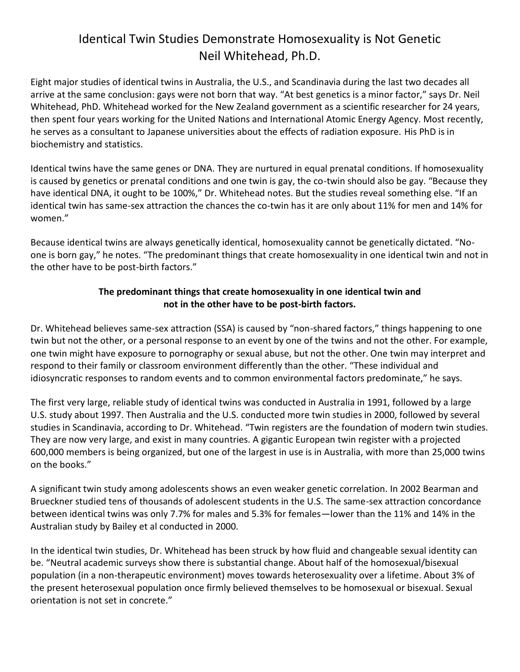## Identical Twin Studies Demonstrate Homosexuality is Not Genetic Neil Whitehead, Ph.D.

Eight major studies of identical twins in Australia, the U.S., and Scandinavia during the last two decades all arrive at the same conclusion: gays were not born that way. "At best genetics is a minor factor," says Dr. Neil Whitehead, PhD. Whitehead worked for the New Zealand government as a scientific researcher for 24 years, then spent four years working for the United Nations and International Atomic Energy Agency. Most recently, he serves as a consultant to Japanese universities about the effects of radiation exposure. His PhD is in biochemistry and statistics.

Identical twins have the same genes or DNA. They are nurtured in equal prenatal conditions. If homosexuality is caused by genetics or prenatal conditions and one twin is gay, the co-twin should also be gay. "Because they have identical DNA, it ought to be 100%," Dr. Whitehead notes. But the studies reveal something else. "If an identical twin has same-sex attraction the chances the co-twin has it are only about 11% for men and 14% for women."

Because identical twins are always genetically identical, homosexuality cannot be genetically dictated. "Noone is born gay," he notes. "The predominant things that create homosexuality in one identical twin and not in the other have to be post-birth factors."

## **The predominant things that create homosexuality in one identical twin and not in the other have to be post-birth factors.**

Dr. Whitehead believes same-sex attraction (SSA) is caused by "non-shared factors," things happening to one twin but not the other, or a personal response to an event by one of the twins and not the other. For example, one twin might have exposure to pornography or sexual abuse, but not the other. One twin may interpret and respond to their family or classroom environment differently than the other. "These individual and idiosyncratic responses to random events and to common environmental factors predominate," he says.

The first very large, reliable study of identical twins was conducted in Australia in 1991, followed by a large U.S. study about 1997. Then Australia and the U.S. conducted more twin studies in 2000, followed by several studies in Scandinavia, according to Dr. Whitehead. "Twin registers are the foundation of modern twin studies. They are now very large, and exist in many countries. A gigantic European twin register with a projected 600,000 members is being organized, but one of the largest in use is in Australia, with more than 25,000 twins on the books."

A significant twin study among adolescents shows an even weaker genetic correlation. In 2002 Bearman and Brueckner studied tens of thousands of adolescent students in the U.S. The same-sex attraction concordance between identical twins was only 7.7% for males and 5.3% for females—lower than the 11% and 14% in the Australian study by Bailey et al conducted in 2000.

In the identical twin studies, Dr. Whitehead has been struck by how fluid and changeable sexual identity can be. "Neutral academic surveys show there is substantial change. About half of the homosexual/bisexual population (in a non-therapeutic environment) moves towards heterosexuality over a lifetime. About 3% of the present heterosexual population once firmly believed themselves to be homosexual or bisexual. Sexual orientation is not set in concrete."